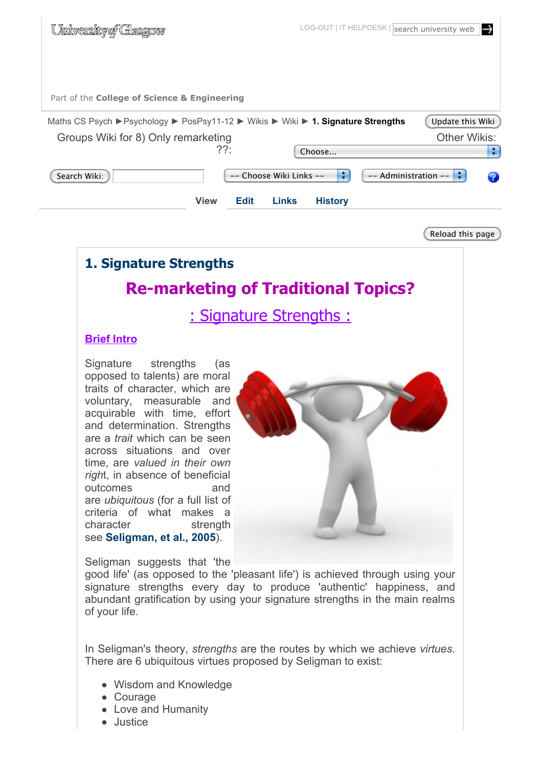

Reload this page

# **1. Signature Strengths Re-marketing of Traditional Topics?**

: Signature Strengths :

#### **Brief Intro**

Signature strengths (as opposed to talents) are moral traits of character, which are voluntary, measurable and acquirable with time, effort and determination. Strengths are a *trait* which can be seen across situations and over time, are *valued in their own righ*t, in absence of beneficial outcomes and are *ubiquitous* (for a full list of criteria of what makes a character strength see **Seligman, et al., 2005**).



Seligman suggests that 'the

good life' (as opposed to the 'pleasant life') is achieved through using your signature strengths every day to produce 'authentic' happiness, and abundant gratification by using your signature strengths in the main realms of your life.

In Seligman's theory, *strengths* are the routes by which we achieve *virtues*. There are 6 ubiquitous virtues proposed by Seligman to exist:

- Wisdom and Knowledge
- Courage
- Love and Humanity
- **•** Justice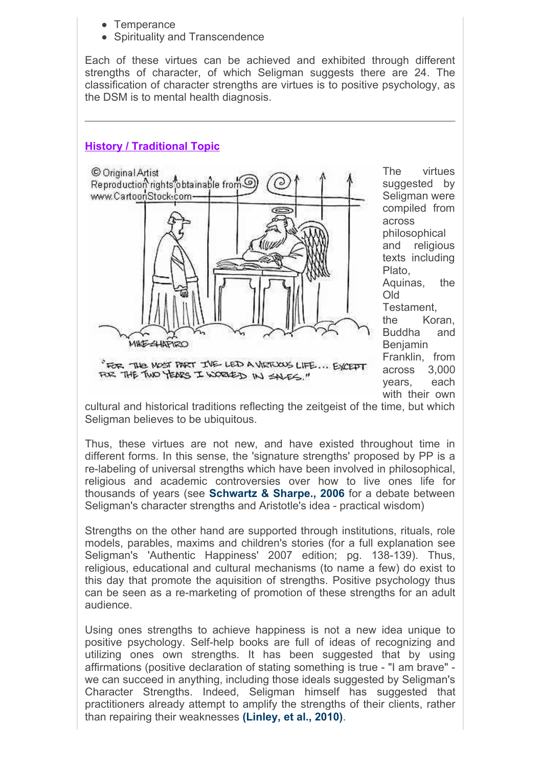- Temperance
- Spirituality and Transcendence

Each of these virtues can be achieved and exhibited through different strengths of character, of which Seligman suggests there are 24. The classification of character strengths are virtues is to positive psychology, as the DSM is to mental health diagnosis.

#### **History / Traditional Topic**



The virtues suggested by Seligman were compiled from across philosophical and religious texts including Plato, Aquinas, the Old Testament, the Koran, Buddha and Benjamin Franklin, from across 3,000 years, each with their own

cultural and historical traditions reflecting the zeitgeist of the time, but which Seligman believes to be ubiquitous.

Thus, these virtues are not new, and have existed throughout time in different forms. In this sense, the 'signature strengths' proposed by PP is a re-labeling of universal strengths which have been involved in philosophical, religious and academic controversies over how to live ones life for thousands of years (see **Schwartz & Sharpe., 2006** for a debate between Seligman's character strengths and Aristotle's idea - practical wisdom)

Strengths on the other hand are supported through institutions, rituals, role models, parables, maxims and children's stories (for a full explanation see Seligman's 'Authentic Happiness' 2007 edition; pg. 138-139). Thus, religious, educational and cultural mechanisms (to name a few) do exist to this day that promote the aquisition of strengths. Positive psychology thus can be seen as a re-marketing of promotion of these strengths for an adult audience.

Using ones strengths to achieve happiness is not a new idea unique to positive psychology. Self-help books are full of ideas of recognizing and utilizing ones own strengths. It has been suggested that by using affirmations (positive declaration of stating something is true - "I am brave" we can succeed in anything, including those ideals suggested by Seligman's Character Strengths. Indeed, Seligman himself has suggested that practitioners already attempt to amplify the strengths of their clients, rather than repairing their weaknesses **(Linley, et al., 2010)**.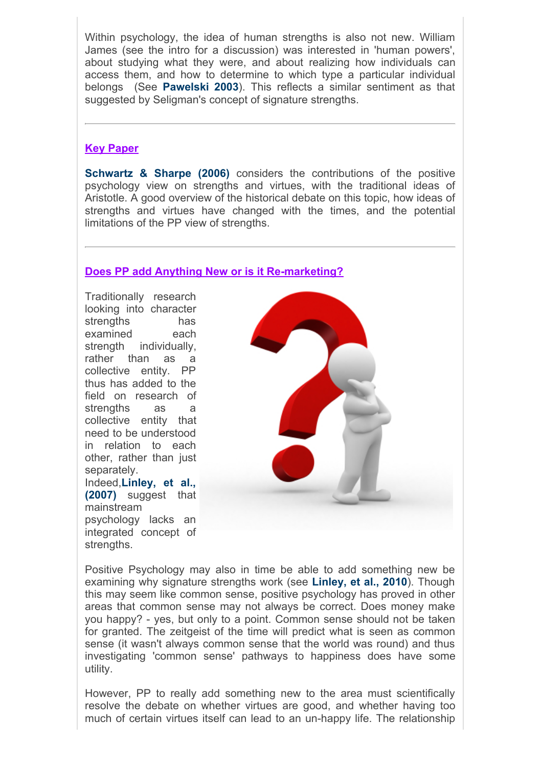Within psychology, the idea of human strengths is also not new. William James (see the intro for a discussion) was interested in 'human powers', about studying what they were, and about realizing how individuals can access them, and how to determine to which type a particular individual belongs (See **Pawelski 2003**). This reflects a similar sentiment as that suggested by Seligman's concept of signature strengths.

#### **Key Paper**

**Schwartz & Sharpe (2006)** considers the contributions of the positive psychology view on strengths and virtues, with the traditional ideas of Aristotle. A good overview of the historical debate on this topic, how ideas of strengths and virtues have changed with the times, and the potential limitations of the PP view of strengths.

#### **Does PP add Anything New or is it Re-marketing?**

Traditionally research looking into character strengths has examined each strength individually, rather than as a collective entity. PP thus has added to the field on research of strengths as a collective entity that need to be understood in relation to each other, rather than just separately. Indeed,**Linley, et al., (2007)** suggest that mainstream psychology lacks an integrated concept of strengths.



Positive Psychology may also in time be able to add something new be examining why signature strengths work (see **Linley, et al., 2010**). Though this may seem like common sense, positive psychology has proved in other areas that common sense may not always be correct. Does money make you happy? - yes, but only to a point. Common sense should not be taken for granted. The zeitgeist of the time will predict what is seen as common sense (it wasn't always common sense that the world was round) and thus investigating 'common sense' pathways to happiness does have some utility.

However, PP to really add something new to the area must scientifically resolve the debate on whether virtues are good, and whether having too much of certain virtues itself can lead to an un-happy life. The relationship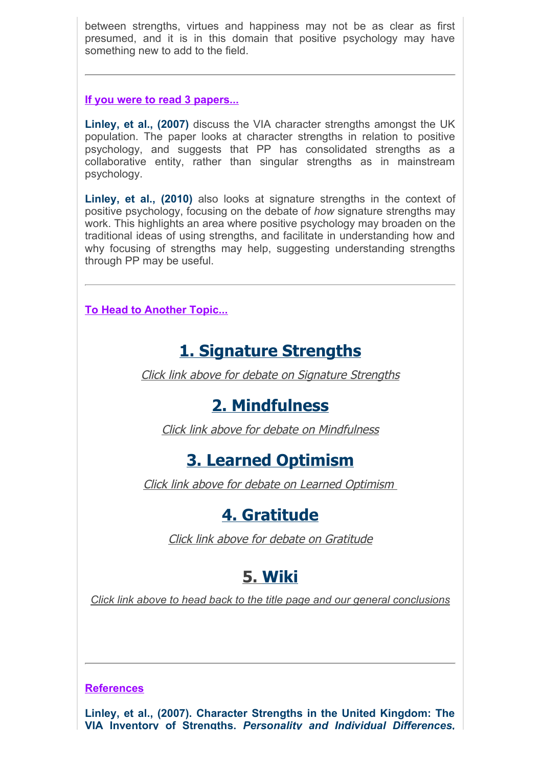between strengths, virtues and happiness may not be as clear as first presumed, and it is in this domain that positive psychology may have something new to add to the field.

**If you were to read 3 papers...**

**Linley, et al., (2007)** discuss the VIA character strengths amongst the UK population. The paper looks at character strengths in relation to positive psychology, and suggests that PP has consolidated strengths as a collaborative entity, rather than singular strengths as in mainstream psychology.

**Linley, et al., (2010)** also looks at signature strengths in the context of positive psychology, focusing on the debate of *how* signature strengths may work. This highlights an area where positive psychology may broaden on the traditional ideas of using strengths, and facilitate in understanding how and why focusing of strengths may help, suggesting understanding strengths through PP may be useful.

**To Head to Another Topic...**

# **1. Signature Strengths**

Click link above for debate on Signature Strengths

# **2. Mindfulness**

Click link above for debate on Mindfulness

## **3. Learned Optimism**

Click link above for debate on Learned Optimism

### **4. Gratitude**

Click link above for debate on Gratitude

## **5. Wiki**

*Click link above to head back to the title page and our general conclusions*

#### **References**

**Linley, et al., (2007). Character Strengths in the United Kingdom: The VIA Inventory of Strengths.** *Personality and Individual Differences,*